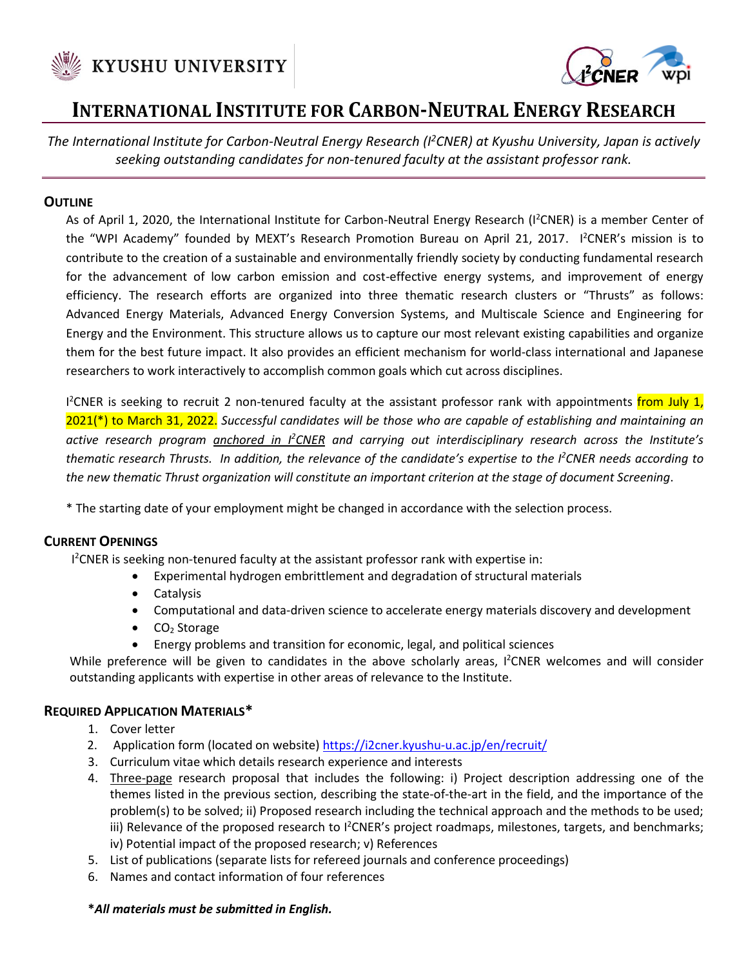



# **INTERNATIONAL INSTITUTE FOR CARBON-NEUTRAL ENERGY RESEARCH**

*The International Institute for Carbon-Neutral Energy Research (I<sup>2</sup>CNER) at Kyushu University, Japan is actively seeking outstanding candidates for non-tenured faculty at the assistant professor rank.*

## **OUTLINE**

As of April 1, 2020, the International Institute for Carbon-Neutral Energy Research (I<sup>2</sup>CNER) is a member Center of the "WPI Academy" founded by MEXT's Research Promotion Bureau on April 21, 2017. I<sup>2</sup>CNER's mission is to contribute to the creation of a sustainable and environmentally friendly society by conducting fundamental research for the advancement of low carbon emission and cost-effective energy systems, and improvement of energy efficiency. The research efforts are organized into three thematic research clusters or "Thrusts" as follows: Advanced Energy Materials, Advanced Energy Conversion Systems, and Multiscale Science and Engineering for Energy and the Environment. This structure allows us to capture our most relevant existing capabilities and organize them for the best future impact. It also provides an efficient mechanism for world-class international and Japanese researchers to work interactively to accomplish common goals which cut across disciplines.

I<sup>2</sup>CNER is seeking to recruit 2 non-tenured faculty at the assistant professor rank with appointments from July 1, 2021(\*) to March 31, 2022. *Successful candidates will be those who are capable of establishing and maintaining an active research program anchored in I<sup>2</sup>CNER and carrying out interdisciplinary research across the Institute's thematic research Thrusts. In addition, the relevance of the candidate's expertise to the I<sup>2</sup>CNER needs according to the new thematic Thrust organization will constitute an important criterion at the stage of document Screening*.

\* The starting date of your employment might be changed in accordance with the selection process.

## **CURRENT OPENINGS**

I <sup>2</sup>CNER is seeking non-tenured faculty at the assistant professor rank with expertise in:

- Experimental hydrogen embrittlement and degradation of structural materials
- Catalysis
- Computational and data-driven science to accelerate energy materials discovery and development
- $\bullet$  CO<sub>2</sub> Storage
- Energy problems and transition for economic, legal, and political sciences

While preference will be given to candidates in the above scholarly areas, I<sup>2</sup>CNER welcomes and will consider outstanding applicants with expertise in other areas of relevance to the Institute.

## **REQUIRED APPLICATION MATERIALS\***

- 1. Cover letter
- 2. Application form (located on website) <https://i2cner.kyushu-u.ac.jp/en/recruit/>
- 3. Curriculum vitae which details research experience and interests
- 4. Three-page research proposal that includes the following: i) Project description addressing one of the themes listed in the previous section, describing the state-of-the-art in the field, and the importance of the problem(s) to be solved; ii) Proposed research including the technical approach and the methods to be used; iii) Relevance of the proposed research to <sup>12</sup>CNER's project roadmaps, milestones, targets, and benchmarks; iv) Potential impact of the proposed research; v) References
- 5. List of publications (separate lists for refereed journals and conference proceedings)
- 6. Names and contact information of four references

#### **\****All materials must be submitted in English.*